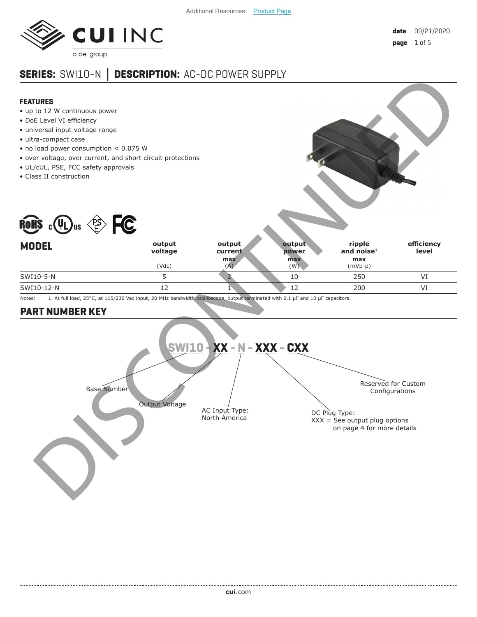

# **SERIES:** SWI10-N **Ϳ DESCRIPTION:** AC-DC POWER SUPPLY

#### **FEATURES**

- up to 12 W continuous power
- DoE Level VI efficiency
- universal input voltage range
- ultra-compact case
- no load power consumption < 0.075 W
- over voltage, over current, and short circuit protections
- UL/cUL, PSE, FCC safety approvals
- Class II construction



Notes: 1. At full load, 25°C, at 115/230 Vac input, 20 MHz bandwidth oscilloscope, output terminated with 0.1 µF and 10 µF capacitors.

(Vdc)

## **PART NUMBER KEY**



SWI10-12-N 12 1 200 VI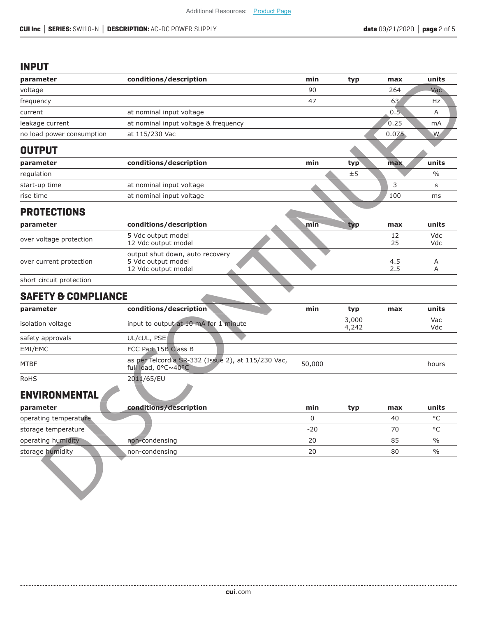## **INPUT**

| parameter                                                           | conditions/description                                                       | min    | typ            | max        | units              |
|---------------------------------------------------------------------|------------------------------------------------------------------------------|--------|----------------|------------|--------------------|
| voltage                                                             |                                                                              | 90     |                | 264        | Vac                |
| frequency                                                           |                                                                              | 47     |                | 63         | Hz                 |
| current                                                             | at nominal input voltage                                                     |        |                | 0.5        | Α                  |
| leakage current                                                     | at nominal input voltage & frequency                                         |        |                | 0.25       | mA                 |
| no load power consumption                                           | at 115/230 Vac                                                               |        |                | 0.075      | W                  |
| <b>OUTPUT</b>                                                       |                                                                              |        |                |            |                    |
| parameter                                                           | conditions/description                                                       | min    | typ            | max        | units              |
| regulation                                                          |                                                                              |        | ±5             |            | $\frac{0}{0}$      |
| start-up time                                                       | at nominal input voltage                                                     |        |                | 3          | s                  |
| rise time                                                           | at nominal input voltage                                                     |        |                | 100        | ms                 |
| <b>PROTECTIONS</b>                                                  |                                                                              |        |                |            |                    |
| parameter                                                           | conditions/description                                                       | min    | typ            | max        | units              |
| over voltage protection                                             | 5 Vdc output model<br>12 Vdc output model                                    |        |                | 12<br>25   | Vdc<br>Vdc         |
| over current protection                                             | output shut down, auto recovery<br>5 Vdc output model<br>12 Vdc output model |        |                | 4.5<br>2.5 | Α<br>Α             |
| short circuit protection                                            |                                                                              |        |                |            |                    |
| <b>SAFETY &amp; COMPLIANCE</b>                                      |                                                                              |        |                |            |                    |
| parameter                                                           | conditions/description                                                       | min    | typ            | max        | units              |
| isolation voltage                                                   | input to output at 10 mA for 1 minute                                        |        | 3,000<br>4,242 |            | Vac<br>Vdc         |
| safety approvals                                                    | UL/cUL, PSE                                                                  |        |                |            |                    |
| EMI/EMC                                                             | FCC Part 15B Class B                                                         |        |                |            |                    |
| MTBF                                                                | as per Telcordia SR-332 (Issue 2), at 115/230 Vac,<br>full load, 0°C~40°C    | 50,000 |                |            | hours              |
| <b>RoHS</b>                                                         | 2011/65/EU                                                                   |        |                |            |                    |
| <b>ENVIRONMENTAL</b>                                                |                                                                              |        |                |            |                    |
| parameter                                                           | conditions/description                                                       | min    | typ            | max        | units              |
|                                                                     |                                                                              | 0      |                | 40         | $\circ \mathsf{C}$ |
|                                                                     |                                                                              |        |                |            |                    |
|                                                                     |                                                                              | $-20$  |                | 70         | $\circ$ C          |
| operating temperature.<br>storage temperature<br>operating humidity | non-condensing                                                               | 20     |                | 85         | $\frac{0}{0}$      |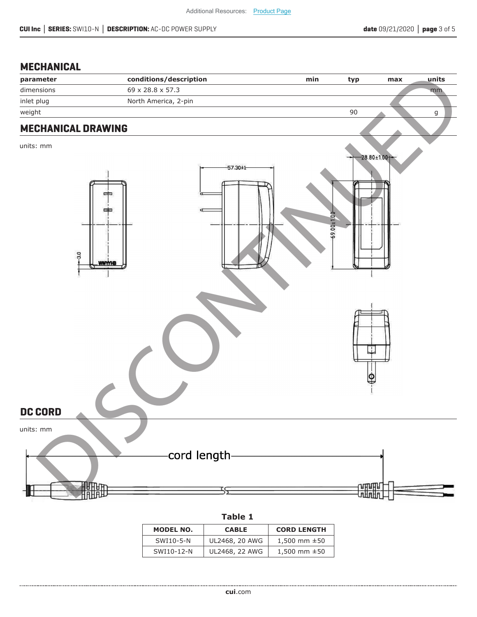## **MECHANICAL**

| -------------             |                        |            |                   |     |             |
|---------------------------|------------------------|------------|-------------------|-----|-------------|
| parameter                 | conditions/description | min        | typ               | max | units       |
| dimensions                | 69 x 28.8 x 57.3       |            |                   |     | mm          |
| inlet plug                | North America, 2-pin   |            |                   |     |             |
| weight                    |                        |            | 90                |     | $\mathsf g$ |
| <b>MECHANICAL DRAWING</b> |                        |            |                   |     |             |
|                           |                        |            |                   |     |             |
| units: mm                 |                        |            |                   |     |             |
|                           |                        |            | $-28.80 \pm 1.00$ |     |             |
|                           | $-57.30 \pm 1$         |            |                   |     |             |
|                           |                        |            |                   |     |             |
|                           | ᆍ                      |            |                   |     |             |
|                           | $\overline{a}$<br>▬    |            |                   |     |             |
|                           |                        |            |                   |     |             |
|                           | $\frac{1}{2}$          | 19.00±1.00 |                   |     |             |
|                           |                        |            |                   |     |             |
|                           |                        |            |                   |     |             |
| 3.0                       | <u>. Www.rh</u>        |            |                   |     |             |
|                           |                        |            |                   |     |             |
|                           |                        |            |                   |     |             |
|                           |                        |            |                   |     |             |
|                           |                        |            |                   |     |             |
|                           |                        |            |                   |     |             |
|                           |                        |            |                   |     |             |
|                           |                        |            |                   |     |             |
|                           |                        |            |                   |     |             |
|                           |                        |            |                   |     |             |
|                           |                        |            |                   |     |             |
|                           |                        |            |                   |     |             |
|                           |                        |            |                   |     |             |
|                           |                        |            |                   |     |             |
| <b>DC CORD</b>            |                        |            |                   |     |             |
| units: mm                 |                        |            |                   |     |             |
|                           |                        |            |                   |     |             |
|                           |                        |            |                   |     |             |
|                           | -cord length-          |            |                   |     |             |
|                           |                        |            |                   |     |             |
|                           |                        |            |                   |     |             |
|                           | 珊                      |            | <b>SHIFTE</b>     |     |             |
|                           |                        |            |                   |     |             |

#### **Table 1**

| MODEL NO.  | <b>CABLE</b>   | <b>CORD LENGTH</b> |
|------------|----------------|--------------------|
| SWI10-5-N  | UL2468, 20 AWG | 1,500 mm $\pm$ 50  |
| SWI10-12-N | UL2468, 22 AWG | 1,500 mm $\pm$ 50  |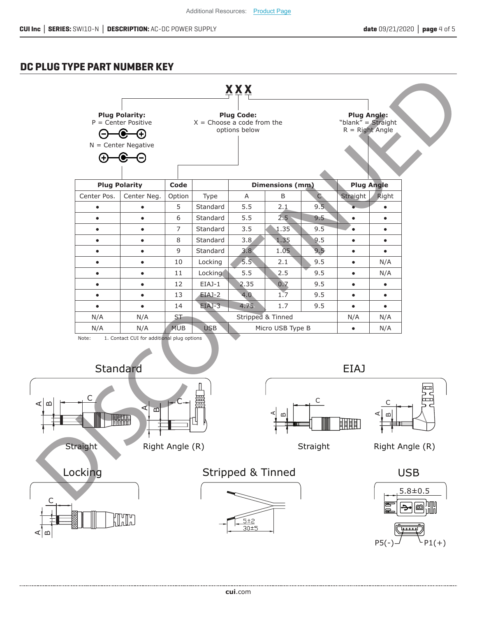### **DC PLUG TYPE PART NUMBER KEY**